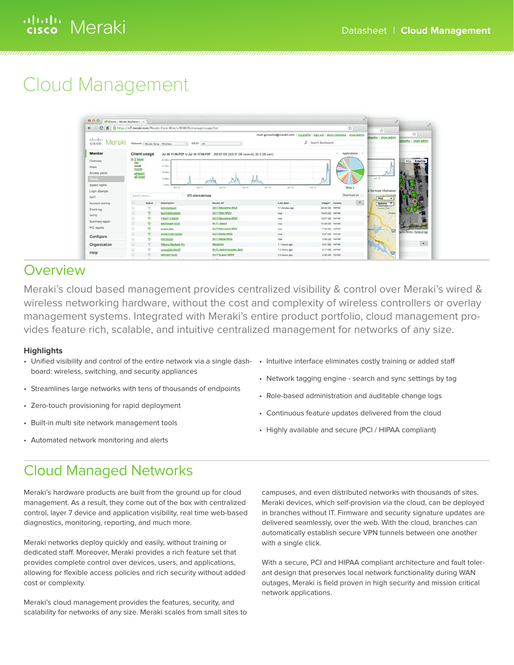# ululu Meraki

# Cloud Management

| $\leftarrow$<br>$\alpha$                                                                          |                                                                                 |                                 | 6 8 https://n7.meraki.com/Meraki-Corp-Wire/n/B4WUfb/manage/usage/list |                                                                                   |                  | ☆<br>noah.gonzales@meraki.com   my.profile   sign.out   demo.networks   ahow.admin | $\frac{1}{2}$                                              | 含                               |
|---------------------------------------------------------------------------------------------------|---------------------------------------------------------------------------------|---------------------------------|-----------------------------------------------------------------------|-----------------------------------------------------------------------------------|------------------|------------------------------------------------------------------------------------|------------------------------------------------------------|---------------------------------|
| 111.111.<br>Meraki<br>CISCO                                                                       |                                                                                 | Network: Meraki Corp - Wireless |                                                                       | $1$ SSID: All                                                                     | $\circ$          | Search dashboard                                                                   | etworks ahow admin                                         | tetworks   show admin           |
| Monitor                                                                                           |                                                                                 | Client usage                    |                                                                       | Jul 09 17:56 PDT to Jul 16 17:56 PDT 268.67 GB (203.57 GB received, 65.3 GB sent) |                  | Applications +                                                                     |                                                            |                                 |
| Overview<br>Maps<br>Access points<br>$4 - 7 + 4$<br>Splash logins<br>Login attempts<br><b>NAC</b> | $@2$ hours<br>day<br>week<br>month<br>whitelist<br>all listed<br>Starch clients |                                 | All More<br><b>AT Mini</b><br>55 Mil-<br>55 Main<br>0.381<br>Jul 10   | $AB + 1.1$<br>At12<br>$2d 12$<br>373 client devices                               | 24.35<br>Jul 14  | More »<br>24.18<br>Download as -                                                   | Jul 16<br>Sk for more information                          | <b>CAMBRID</b><br>Map Satellite |
|                                                                                                   | σ                                                                               | Status                          | Description                                                           | <b>Recent AP</b>                                                                  | <b>Lest seen</b> | ۰<br>Usage * Access                                                                | Map<br>$\overline{\phantom{a}}$<br>$241 -$<br>Options<br>▼ |                                 |
|                                                                                                   |                                                                                 |                                 |                                                                       |                                                                                   |                  |                                                                                    |                                                            |                                 |
|                                                                                                   | ω                                                                               | ÷                               | simontompage                                                          | 3rd FI Mazzanine MR24                                                             | 17 minutes ago.  | 24.64 GS normal                                                                    | Country Club                                               |                                 |
|                                                                                                   | o                                                                               |                                 | MJOHNSONX220                                                          | 3rd Ft West MR24                                                                  | row              | 14.43 GS normal                                                                    | Pastei                                                     |                                 |
| Account activity<br>Event log<br>WIPS                                                             | o                                                                               |                                 | <b>PODER TOMACOS</b>                                                  | 3rd Fl Mezzanine MR24                                                             | trów             | 12.57 GB normal                                                                    |                                                            |                                 |
| Summary report                                                                                    | ö                                                                               |                                 | <b>MSTEWARTX220</b>                                                   | Ath.FL Sales2                                                                     | now              | 10.49 GB - normal                                                                  |                                                            |                                 |
| PCI reports                                                                                       | o                                                                               |                                 | Noahe-Mac                                                             | <b>Drd Fl Mezzacine MR24</b>                                                      | now              | 7.28 GB normal                                                                     | dand<br>Link Morris                                        |                                 |
|                                                                                                   | œ                                                                               |                                 | KVANTOSKYZKZZÓ                                                        | 3rd FLMatde MR24                                                                  | NSW              | 6.37 GB normal                                                                     | er#                                                        | post Survey - Terms of Use      |
| Configure                                                                                         | ö                                                                               |                                 | HKDX202                                                               | 3rd Fi Middle MR24                                                                | <b>FIOW</b>      | 5.49 GB normal                                                                     |                                                            |                                 |
| Organization                                                                                      | ы                                                                               |                                 | Winore-MacBook-Pro                                                    | Mezzenne                                                                          | 1.1 hours ago    | 4.21 GB romal                                                                      |                                                            | $\ddot{\phantom{1}}$            |
| Help                                                                                              | G                                                                               |                                 | umangX201WnXP                                                         | 4th FL behind reception dask                                                      | 1.2 hours ago    | 4.17 GB normal                                                                     | ਦਰ                                                         |                                 |

### Overview

Meraki's cloud based management provides centralized visibility & control over Meraki's wired & wireless networking hardware, without the cost and complexity of wireless controllers or overlay management systems. Integrated with Meraki's entire product portfolio, cloud management provides feature rich, scalable, and intuitive centralized management for networks of any size.

#### **Highlights**

- Unified visibility and control of the entire network via a single dashboard: wireless, switching, and security appliances
- • Streamlines large networks with tens of thousands of endpoints
- • Zero-touch provisioning for rapid deployment
- • Built-in multi site network management tools
- • Automated network monitoring and alerts
- Intuitive interface eliminates costly training or added staff
- • Network tagging engine search and sync settings by tag
- Role-based administration and auditable change logs
- • Continuous feature updates delivered from the cloud
- • Highly available and secure (PCI / HIPAA compliant)

### Cloud Managed Networks

Meraki's hardware products are built from the ground up for cloud management. As a result, they come out of the box with centralized control, layer 7 device and application visibility, real time web-based diagnostics, monitoring, reporting, and much more.

Meraki networks deploy quickly and easily, without training or dedicated staff. Moreover, Meraki provides a rich feature set that provides complete control over devices, users, and applications, allowing for flexible access policies and rich security without added cost or complexity.

Meraki's cloud management provides the features, security, and scalability for networks of any size. Meraki scales from small sites to campuses, and even distributed networks with thousands of sites. Meraki devices, which self-provision via the cloud, can be deployed in branches without IT. Firmware and security signature updates are delivered seamlessly, over the web. With the cloud, branches can automatically establish secure VPN tunnels between one another with a single click.

With a secure, PCI and HIPAA compliant architecture and fault tolerant design that preserves local network functionality during WAN outages, Meraki is field proven in high security and mission critical network applications.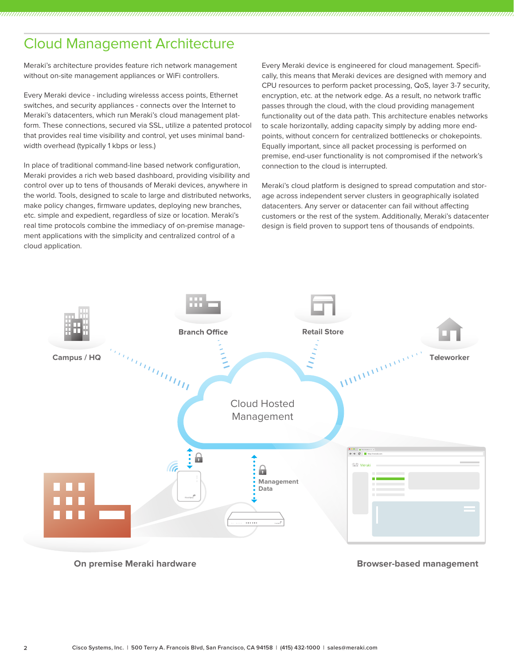## Cloud Management Architecture

Meraki's architecture provides feature rich network management without on-site management appliances or WiFi controllers.

Every Meraki device - including wirelesss access points, Ethernet switches, and security appliances - connects over the Internet to Meraki's datacenters, which run Meraki's cloud management platform. These connections, secured via SSL, utilize a patented protocol that provides real time visibility and control, yet uses minimal bandwidth overhead (typically 1 kbps or less.)

In place of traditional command-line based network configuration, Meraki provides a rich web based dashboard, providing visibility and control over up to tens of thousands of Meraki devices, anywhere in the world. Tools, designed to scale to large and distributed networks, make policy changes, firmware updates, deploying new branches, etc. simple and expedient, regardless of size or location. Meraki's real time protocols combine the immediacy of on-premise management applications with the simplicity and centralized control of a cloud application.

Every Meraki device is engineered for cloud management. Specifically, this means that Meraki devices are designed with memory and CPU resources to perform packet processing, QoS, layer 3-7 security, encryption, etc. at the network edge. As a result, no network traffic passes through the cloud, with the cloud providing management functionality out of the data path. This architecture enables networks to scale horizontally, adding capacity simply by adding more endpoints, without concern for centralized bottlenecks or chokepoints. Equally important, since all packet processing is performed on premise, end-user functionality is not compromised if the network's connection to the cloud is interrupted.

Meraki's cloud platform is designed to spread computation and storage across independent server clusters in geographically isolated datacenters. Any server or datacenter can fail without affecting customers or the rest of the system. Additionally, Meraki's datacenter design is field proven to support tens of thousands of endpoints.



**On premise Meraki hardware**

**Browser-based management**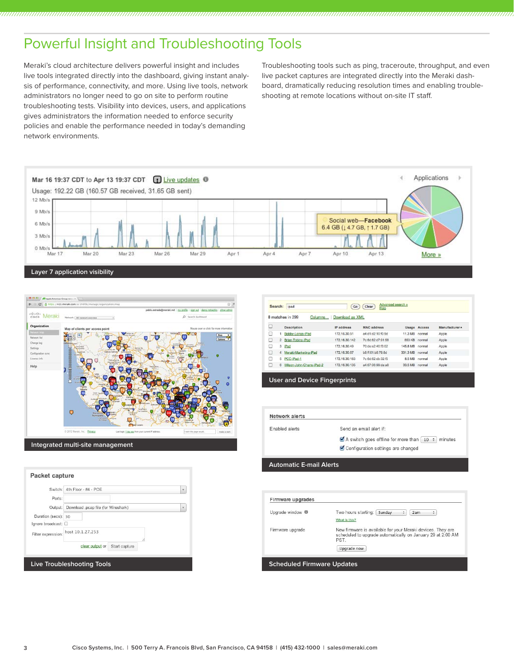## Powerful Insight and Troubleshooting Tools

Meraki's cloud architecture delivers powerful insight and includes live tools integrated directly into the dashboard, giving instant analysis of performance, connectivity, and more. Using live tools, network administrators no longer need to go on site to perform routine troubleshooting tests. Visibility into devices, users, and applications gives administrators the information needed to enforce security policies and enable the performance needed in today's demanding network environments.

Troubleshooting tools such as ping, traceroute, throughput, and even live packet captures are integrated directly into the Meraki dashboard, dramatically reducing resolution times and enabling troubleshooting at remote locations without on-site IT staff.





| Switch:             | 4th Floor - #4 - POE                | v |
|---------------------|-------------------------------------|---|
| Ports:              |                                     |   |
| Output:             | Download .pcap file (for Wireshark) | × |
| Duration (secs): 30 |                                     |   |
| Ignore broadcast:   |                                     |   |
| Filter expression:  | host 10.1.27.253<br>ź               |   |
|                     | clear output or<br>Start capture    |   |

|   |                | 8 matches in 299<br>Columns | Download as XML |                    |          |                     |                |
|---|----------------|-----------------------------|-----------------|--------------------|----------|---------------------|----------------|
| C |                | <b>Description</b>          | IP address      | <b>MAC</b> address |          | <b>Usage Access</b> | Manufacturer 4 |
| 6 |                | Bobby-Longs-iPad            | 172.16.30.51    | a4:d1:d2:10:f0:9d  | 11.3 MB  | normal              | Apple          |
| E | $\overline{2}$ | Brian-Tobins-Pad            | 172.16.30.142   | 7c:6d:62:d7:91:58  | 853 KB   | normal              | Apple          |
| C | 3              | iPad                        | 172.16.30.49    | 70:de:e2:40:f3:02  | 145.8 MB | normal              | Apple          |
| E | 4              | Meraki-Marketing-iPad       | 172.16.30.67    | b8:ff:61:b8:78:8d  | 331.3 MB | normal              | Apple          |
| 8 | 5              | PCC-iPad-1                  | 172.16.30.183   | 7c:6d:62:db:32:f5  | 8.5 MB   | normal              | Apple          |
| e | 6              | Wilson-John-Chans-iPad-2    | 172.16.30.135   | a4:67:06:99:da:a8  | 33.5 MB  | normal              | Apple          |

**User and Device Fingerprints**

| Enabled alerts | Send an email alert if:                                                                 |
|----------------|-----------------------------------------------------------------------------------------|
|                | $\blacktriangleright$ A switch goes offline for more than $\lceil$ 10 $\div$<br>minutes |
|                | Configuration settings are changed                                                      |

| Two hours starting:<br>Sunday<br>2am<br>٥<br>÷                                                                                     |
|------------------------------------------------------------------------------------------------------------------------------------|
| What is this?                                                                                                                      |
| New firmware is available for your Meraki devices. They are<br>scheduled to upgrade automatically on January 29 at 2:00 AM<br>PST. |
| Upgrade now                                                                                                                        |
|                                                                                                                                    |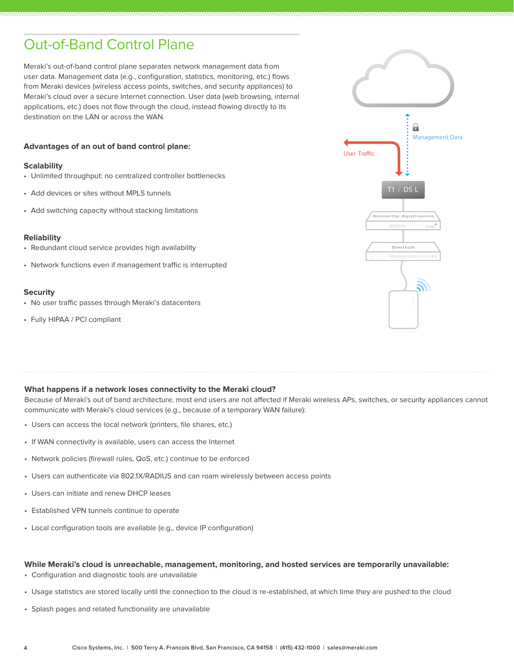## Out-of-Band Control Plane

Meraki's out-of-band control plane separates network management data from user data. Management data (e.g., configuration, statistics, monitoring, etc.) flows from Meraki devices (wireless access points, switches, and security appliances) to Meraki's cloud over a secure Internet connection. User data (web browsing, internal applications, etc.) does not flow through the cloud, instead flowing directly to its destination on the LAN or across the WAN.

#### **Advantages of an out of band control plane:**

#### **Scalability**

- • Unlimited throughput: no centralized controller bottlenecks
- Add devices or sites without MPLS tunnels
- Add switching capacity without stacking limitations

#### **Reliability**

- Redundant cloud service provides high availability
- Network functions even if management traffic is interrupted

#### **Security**

- No user traffic passes through Meraki's datacenters
- • Fully HIPAA / PCI compliant



#### **What happens if a network loses connectivity to the Meraki cloud?**

Because of Meraki's out of band architecture, most end users are not affected if Meraki wireless APs, switches, or security appliances cannot communicate with Meraki's cloud services (e.g., because of a temporary WAN failure):

- • Users can access the local network (printers, file shares, etc.)
- If WAN connectivity is available, users can access the Internet
- • Network policies (firewall rules, QoS, etc.) continue to be enforced
- • Users can authenticate via 802.1X/RADIUS and can roam wirelessly between access points
- Users can initiate and renew DHCP leases
- • Established VPN tunnels continue to operate
- • Local configuration tools are available (e.g., device IP configuration)

#### **While Meraki's cloud is unreachable, management, monitoring, and hosted services are temporarily unavailable:**

- • Configuration and diagnostic tools are unavailable
- • Usage statistics are stored locally until the connection to the cloud is re-established, at which time they are pushed to the cloud
- • Splash pages and related functionality are unavailable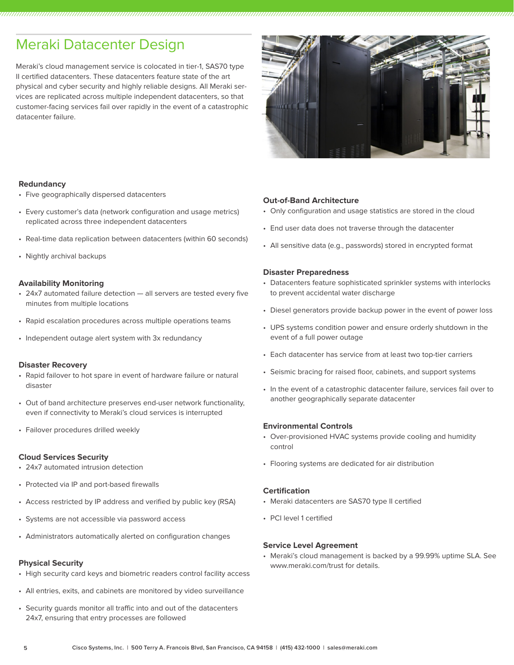### Meraki Datacenter Design

Meraki's cloud management service is colocated in tier-1, SAS70 type II certified datacenters. These datacenters feature state of the art physical and cyber security and highly reliable designs. All Meraki services are replicated across multiple independent datacenters, so that customer-facing services fail over rapidly in the event of a catastrophic datacenter failure.



#### **Redundancy**

- • Five geographically dispersed datacenters
- • Every customer's data (network configuration and usage metrics) replicated across three independent datacenters
- Real-time data replication between datacenters (within 60 seconds)
- • Nightly archival backups

#### **Availability Monitoring**

- 24x7 automated failure detection all servers are tested every five minutes from multiple locations
- Rapid escalation procedures across multiple operations teams
- Independent outage alert system with 3x redundancy

#### **Disaster Recovery**

- Rapid failover to hot spare in event of hardware failure or natural disaster
- • Out of band architecture preserves end-user network functionality, even if connectivity to Meraki's cloud services is interrupted
- • Failover procedures drilled weekly

#### **Cloud Services Security**

- • 24x7 automated intrusion detection
- Protected via IP and port-based firewalls
- Access restricted by IP address and verified by public key (RSA)
- • Systems are not accessible via password access
- • Administrators automatically alerted on configuration changes

#### **Physical Security**

- High security card keys and biometric readers control facility access
- • All entries, exits, and cabinets are monitored by video surveillance
- • Security guards monitor all traffic into and out of the datacenters 24x7, ensuring that entry processes are followed

#### **Out-of-Band Architecture**

- • Only configuration and usage statistics are stored in the cloud
- • End user data does not traverse through the datacenter
- • All sensitive data (e.g., passwords) stored in encrypted format

#### **Disaster Preparedness**

- Datacenters feature sophisticated sprinkler systems with interlocks to prevent accidental water discharge
- Diesel generators provide backup power in the event of power loss
- • UPS systems condition power and ensure orderly shutdown in the event of a full power outage
- • Each datacenter has service from at least two top-tier carriers
- • Seismic bracing for raised floor, cabinets, and support systems
- In the event of a catastrophic datacenter failure, services fail over to another geographically separate datacenter

#### **Environmental Controls**

- Over-provisioned HVAC systems provide cooling and humidity control
- • Flooring systems are dedicated for air distribution

#### **Certification**

- Meraki datacenters are SAS70 type II certified
- • PCI level 1 certified

#### **Service Level Agreement**

• Meraki's cloud management is backed by a 99.99% uptime SLA. See www.meraki.com/trust for details.